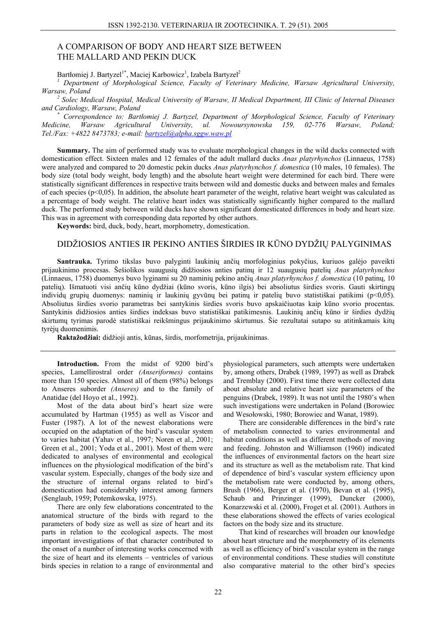## A COMPARISON OF BODY AND HEART SIZE BETWEEN THE MALLARD AND PEKIN DUCK

Bartłomiej J. Bartyzel<sup>1\*</sup>, Maciej Karbowicz<sup>1</sup>, Izabela Bartyzel<sup>2</sup>

Department of Morphological Science, Faculty of Veterinary Medicine, Warsaw Agricultural University, Warsaw, Poland

 $^2$  Solec Medical Hospital, Medical University of Warsaw, II Medical Department, III Clinic of Internal Diseases and Cardiology, Warsaw, Poland

Correspondence to: Bartlomiej J. Bartyzel, Department of Morphological Science, Faculty of Veterinary Warsaw Agricultural University, ul. Nowoursynowska 159,  $02-776$  *Warsaw*, Poland: Medicine.  $Tel/Fax: +48228473783$ : e-mail: bartyzel@alpha.sggw.waw.pl

Summary. The aim of performed study was to evaluate morphological changes in the wild ducks connected with domestication effect. Sixteen males and 12 females of the adult mallard ducks *Anas platyrhynchos* (Linnaeus, 1758) were analyzed and compared to 20 domestic pekin ducks Anas platyrhynchos f. domestica (10 males, 10 females). The body size (total body weight, body length) and the absolute heart weight were determined for each bird. There were statistically significant differences in respective traits between wild and domestic ducks and between males and females of each species ( $p<0,05$ ). In addition, the absolute heart parameter of the weight, relative heart weight was calculated as a percentage of body weight. The relative heart index was statistically significantly higher compared to the mallard duck. The performed study between wild ducks have shown significant domesticated differences in body and heart size. This was in agreement with corresponding data reported by other authors.

Keywords: bird, duck, body, heart, morphometry, domestication.

## DIDŽIOSIOS ANTIES IR PEKINO ANTIES ŠIRDIES IR KŪNO DYDŽIŲ PALYGINIMAS

Santrauka. Tyrimo tikslas buvo palvginti laukiniu ančiu morfologinius pokyčius, kuriuos galėjo paveikti prijaukinimo procesas. Šešiolikos suaugusių didžiosios anties patinų ir 12 suaugusių patelių Anas platyrhynchos (Linnaeus, 1758) duomenys buvo lyginami su 20 naminių pekino ančių Anas platyrhynchos f. domestica (10 patinų, 10 patelių). Išmatuoti visi ančių kūno dydžiai (kūno svoris, kūno ilgis) bei absoliutus širdies svoris. Gauti skirtingų individų grupių duomenys: naminių ir laukinių gyvūnų bei patinų ir patelių buvo statistiškai patikimi (p<0,05). Absoliutus širdies svorio parametras bei santykinis širdies svoris buvo apskaičiuotas kaip kūno svorio procentas. Santykinis didžiosios anties širdies indeksas buvo statistiškai patikimesnis. Laukinių ančių kūno ir širdies dydžių skirtumu tyrimas parodė statistiškai reikšmingus prijaukinimo skirtumus. Šie rezultatai sutapo su atitinkamais kitu tvrėju duomenimis.

Raktažodžiai: didžioji antis, kūnas, širdis, morfometrija, prijaukinimas.

Introduction. From the midst of 9200 bird's species, Lamellirostral order (Anseriformes) contains more than 150 species. Almost all of them (98%) belongs to Anseres suborder (Anseres) and to the family of Anatidae (del Hoyo et al., 1992).

Most of the data about bird's heart size were accumulated by Hartman (1955) as well as Viscor and Fuster (1987). A lot of the newest elaborations were occupied on the adaptation of the bird's vascular system to varies habitat (Yahav et al., 1997; Noren et al., 2001; Green et al., 2001; Yoda et al., 2001). Most of them were dedicated to analyses of environmental and ecological influences on the physiological modification of the bird's vascular system. Especially, changes of the body size and the structure of internal organs related to bird's domestication had considerably interest among farmers (Senglaub, 1959; Potemkowska, 1975).

There are only few elaborations concentrated to the anatomical structure of the birds with regard to the parameters of body size as well as size of heart and its parts in relation to the ecological aspects. The most important investigations of that character contributed to the onset of a number of interesting works concerned with the size of heart and its elements – ventricles of various birds species in relation to a range of environmental and

physiological parameters, such attempts were undertaken by, among others, Drabek (1989, 1997) as well as Drabek and Tremblay (2000). First time there were collected data about absolute and relative heart size parameters of the penguins (Drabek, 1989). It was not until the 1980's when such investigations were undertaken in Poland (Borowiec and Wesołowski, 1980; Borowiec and Wanat, 1989).

There are considerable differences in the bird's rate of metabolism connected to varies environmental and habitat conditions as well as different methods of moving and feeding. Johnston and Williamson (1960) indicated the influences of environmental factors on the heart size and its structure as well as the metabolism rate. That kind of dependence of bird's vascular system efficiency upon the metabolism rate were conducted by, among others, Brush (1966), Berger et al. (1970), Bevan et al. (1995), Schaub and Prinzinger (1999), Duncker (2000), Konarzewski et al. (2000), Froget et al. (2001). Authors in these elaborations showed the effects of varies ecological factors on the body size and its structure.

That kind of researches will broaden our knowledge about heart structure and the morphometry of its elements as well as efficiency of bird's vascular system in the range of environmental conditions. These studies will constitute also comparative material to the other bird's species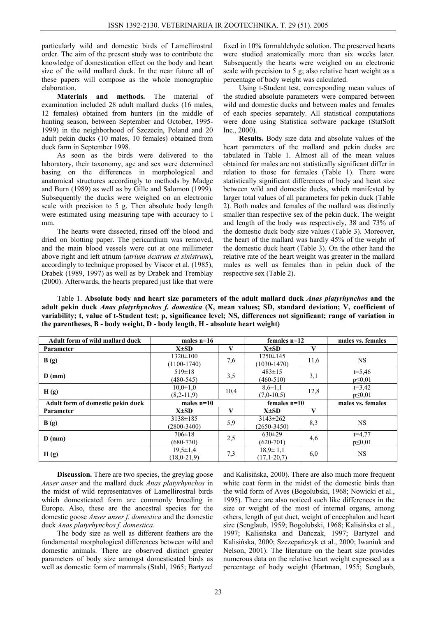particularly wild and domestic birds of Lamellirostral order. The aim of the present study was to contribute the knowledge of domestication effect on the body and heart size of the wild mallard duck. In the near future all of these papers will compose as the whole monographic elaboration.

**Materials and methods.** The material of examination included 28 adult mallard ducks (16 males, 12 females) obtained from hunters (in the middle of hunting season, between September and October, 1995- 1999) in the neighborhood of Szczecin, Poland and 20 adult pekin ducks (10 males, 10 females) obtained from duck farm in September 1998.

As soon as the birds were delivered to the laboratory, their taxonomy, age and sex were determined basing on the differences in morphological and anatomical structures accordingly to methods by Madge and Burn (1989) as well as by Gille and Salomon (1999). Subsequently the ducks were weighed on an electronic scale with precision to 5 g. Then absolute body length were estimated using measuring tape with accuracy to l mm.

The hearts were dissected, rinsed off the blood and dried on blotting paper. The pericardium was removed, and the main blood vessels were cut at one millimeter above right and left atrium (*atrium dextrum et sinistrum*), accordingly to technique proposed by Viscor et al. (1985), Drabek (1989, 1997) as well as by Drabek and Tremblay (2000). Afterwards, the hearts prepared just like that were

fixed in 10% formaldehyde solution. The preserved hearts were studied anatomically more than six weeks later. Subsequently the hearts were weighed on an electronic scale with precision to 5 g; also relative heart weight as a percentage of body weight was calculated.

Using t-Student test, corresponding mean values of the studied absolute parameters were compared between wild and domestic ducks and between males and females of each species separately. All statistical computations were done using Statistica software package (StatSoft Inc., 2000).

**Results.** Body size data and absolute values of the heart parameters of the mallard and pekin ducks are tabulated in Table 1. Almost all of the mean values obtained for males are not statistically significant differ in relation to those for females (Table 1). There were statistically significant differences of body and heart size between wild and domestic ducks, which manifested by larger total values of all parameters for pekin duck (Table 2). Both males and females of the mallard was distinctly smaller than respective sex of the pekin duck. The weight and length of the body was respectively, 38 and 73% of the domestic duck body size values (Table 3). Moreover, the heart of the mallard was hardly 45% of the weight of the domestic duck heart (Table 3). On the other hand the relative rate of the heart weight was greater in the mallard males as well as females than in pekin duck of the respective sex (Table 2).

Table 1. **Absolute body and heart size parameters of the adult mallard duck** *Anas platyrhynchos* **and the adult pekin duck** *Anas platyrhynchos f. domestica* **(X, mean values; SD, standard deviation; V, coefficient of variability; t, value of t-Student test; p, significance level; NS, differences not significant; range of variation in the parentheses, B - body weight, D - body length, H - absolute heart weight)** 

| Adult form of wild mallard duck   | males $n=16$                        |      | females $n=12$                    |      | males vs. females           |
|-----------------------------------|-------------------------------------|------|-----------------------------------|------|-----------------------------|
| Parameter                         | $X\pm SD$                           | V    | $X\pm SD$                         | V    |                             |
| B(g)                              | $1320 \pm 100$<br>$(1100-1740)$     | 7,6  | $1250 \pm 145$<br>$(1030-1470)$   | 11,6 | <b>NS</b>                   |
| $D$ (mm)                          | $519 \pm 18$<br>$(480 - 545)$       | 3,5  | $483 \pm 15$<br>$(460 - 510)$     | 3,1  | $t = 5,46$<br>$p \leq 0.01$ |
| H(g)                              | $10,0 \pm 1,0$<br>$(8,2-11,9)$      | 10,4 | $8,6{\pm}1,1$<br>$(7.0 - 10.5)$   | 12,8 | $t=3,42$<br>$p \leq 0.01$   |
| Adult form of domestic pekin duck | males $n=10$                        |      | females $n=10$                    |      | males vs. females           |
| Parameter                         | $X\pm SD$                           | V    | $X\pm SD$                         | V    |                             |
| B(g)                              | $3138 \pm 185$<br>$(2800 - 3400)$   | 5,9  | $3143 \pm 262$<br>$(2650 - 3450)$ | 8,3  | <b>NS</b>                   |
| $D$ (mm)                          | $706 \pm 18$<br>$(680 - 730)$       | 2,5  | $630 \pm 29$<br>$(620-701)$       | 4,6  | $t=4,77$<br>$p \leq 0.01$   |
| H(g)                              | $19,5 \pm 1,4$<br>$(18, 0 - 21, 9)$ | 7,3  | $18,9 \pm 1,1$<br>$(17,1-20,7)$   | 6,0  | <b>NS</b>                   |

**Discussion.** There are two species, the greylag goose *Anser anser* and the mallard duck *Anas platyrhynchos* in the midst of wild representatives of Lamellirostral birds which domesticated form are commonly breeding in Europe. Also, these are the ancestral species for the domestic goose *Anser anser f. domestica* and the domestic duck *Anas platyrhynchos f. domestica*.

The body size as well as different feathers are the fundamental morphological differences between wild and domestic animals. There are observed distinct greater parameters of body size amongst domesticated birds as well as domestic form of mammals (Stahl, 1965; Bartyzel and Kalisińska, 2000). There are also much more frequent white coat form in the midst of the domestic birds than the wild form of Aves (Bogolubski, 1968; Nowicki et al., 1995). There are also noticed such like differences in the size or weight of the most of internal organs, among others, length of gut duct, weight of encephalon and heart size (Senglaub, 1959; Bogolubski, 1968; Kalisińska et al., 1997; Kalisińska and Dańczak, 1997; Bartyzel and Kalisińska, 2000; Szczepańczyk et al., 2000; Iwaniuk and Nelson, 2001). The literature on the heart size provides numerous data on the relative heart weight expressed as a percentage of body weight (Hartman, 1955; Senglaub,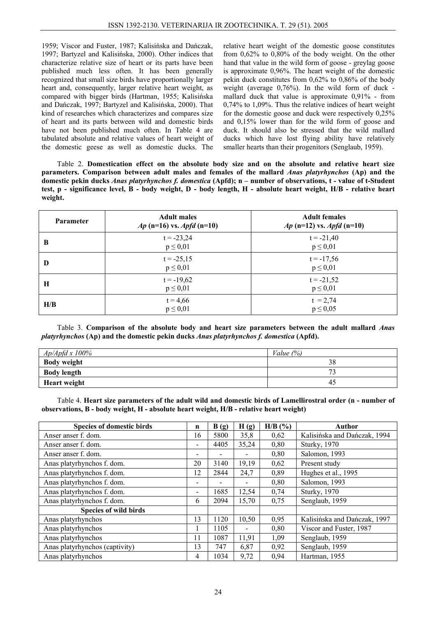1959; Viscor and Fuster, 1987; Kalisińska and Dańczak, 1997; Bartyzel and Kalisińska, 2000). Other indices that characterize relative size of heart or its parts have been published much less often. It has been generally recognized that small size birds have proportionally larger heart and, consequently, larger relative heart weight, as compared with bigger birds (Hartman, 1955; Kalisińska and Dańczak, 1997; Bartyzel and Kalisińska, 2000). That kind of researches which characterizes and compares size of heart and its parts between wild and domestic birds have not been published much often. In Table 4 are tabulated absolute and relative values of heart weight of the domestic geese as well as domestic ducks. The

relative heart weight of the domestic goose constitutes from 0,62% to 0,80% of the body weight. On the other hand that value in the wild form of goose - greylag goose is approximate 0,96%. The heart weight of the domestic pekin duck constitutes from 0,62% to 0,86% of the body weight (average 0,76%). In the wild form of duck mallard duck that value is approximate 0,91% - from 0,74% to 1,09%. Thus the relative indices of heart weight for the domestic goose and duck were respectively 0,25% and 0,15% lower than for the wild form of goose and duck. It should also be stressed that the wild mallard ducks which have lost flying ability have relatively smaller hearts than their progenitors (Senglaub, 1959).

Table 2. **Domestication effect on the absolute body size and on the absolute and relative heart size parameters. Comparison between adult males and females of the mallard** *Anas platyrhynchos* **(Ap) and the domestic pekin ducks** *Anas platyrhynchos f. domestica* **(Apfd); n – number of observations, t - value of t-Student test, p - significance level, B - body weight, D - body length, H - absolute heart weight, H/B - relative heart weight.** 

| <b>Parameter</b> | <b>Adult males</b><br><i>Ap</i> (n=16) vs. <i>Apfd</i> (n=10) | <b>Adult females</b><br>$Ap$ (n=12) vs. <i>Apfd</i> (n=10) |
|------------------|---------------------------------------------------------------|------------------------------------------------------------|
| B                | $t = -23,24$<br>$p \leq 0.01$                                 | $t = -21,40$<br>$p \leq 0.01$                              |
| D                | $t = -25,15$<br>$p \leq 0.01$                                 | $t = -17,56$<br>$p \leq 0.01$                              |
| H                | $t = -19,62$<br>$p \leq 0.01$                                 | $t = -21,52$<br>$p \leq 0.01$                              |
| H/B              | $t = 4,66$<br>$p \leq 0.01$                                   | $t = 2,74$<br>$p \leq 0.05$                                |

Table 3. **Comparison of the absolute body and heart size parameters between the adult mallard** *Anas platyrhynchos* **(Ap) and the domestic pekin ducks** *Anas platyrhynchos f. domestica* **(Apfd).** 

| $Ap/Apfd x 100\%$   | Value $(%)$  |  |  |
|---------------------|--------------|--|--|
| <b>Body weight</b>  | 38           |  |  |
| <b>Body length</b>  | $H^{\prime}$ |  |  |
| <b>Heart weight</b> | 42           |  |  |

Table 4. **Heart size parameters of the adult wild and domestic birds of Lamellirostral order (n - number of observations, B - body weight, H - absolute heart weight, H/B - relative heart weight)** 

| <b>Species of domestic birds</b> | n                        | B(g) | H(g)                     | $H/B$ (%) | Author                       |
|----------------------------------|--------------------------|------|--------------------------|-----------|------------------------------|
| Anser anser f. dom.              | 16                       | 5800 | 35,8                     | 0,62      | Kalisińska and Dańczak, 1994 |
| Anser anser f. dom.              | $\overline{\phantom{a}}$ | 4405 | 35,24                    | 0,80      | <b>Sturky</b> , 1970         |
| Anser anser f. dom.              |                          |      |                          | 0,80      | Salomon, 1993                |
| Anas platyrhynchos f. dom.       | 20                       | 3140 | 19,19                    | 0,62      | Present study                |
| Anas platyrhynchos f. dom.       | 12                       | 2844 | 24,7                     | 0,89      | Hughes et al., 1995          |
| Anas platyrhynchos f. dom.       | $\overline{\phantom{0}}$ |      |                          | 0,80      | Salomon, 1993                |
| Anas platyrhynchos f. dom.       | $\overline{\phantom{0}}$ | 1685 | 12,54                    | 0,74      | <b>Sturky</b> , 1970         |
| Anas platyrhynchos f. dom.       | 6                        | 2094 | 15,70                    | 0,75      | Senglaub, 1959               |
| <b>Species of wild birds</b>     |                          |      |                          |           |                              |
| Anas platyrhynchos               | 13                       | 1120 | 10,50                    | 0,95      | Kalisińska and Dańczak, 1997 |
| Anas platyrhynchos               |                          | 1105 | $\overline{\phantom{0}}$ | 0,80      | Viscor and Fuster, 1987      |
| Anas platyrhynchos               | 11                       | 1087 | 11,91                    | 1,09      | Senglaub, 1959               |
| Anas platyrhynchos (captivity)   | 13                       | 747  | 6,87                     | 0,92      | Senglaub, 1959               |
| Anas platyrhynchos               | 4                        | 1034 | 9,72                     | 0,94      | Hartman, 1955                |